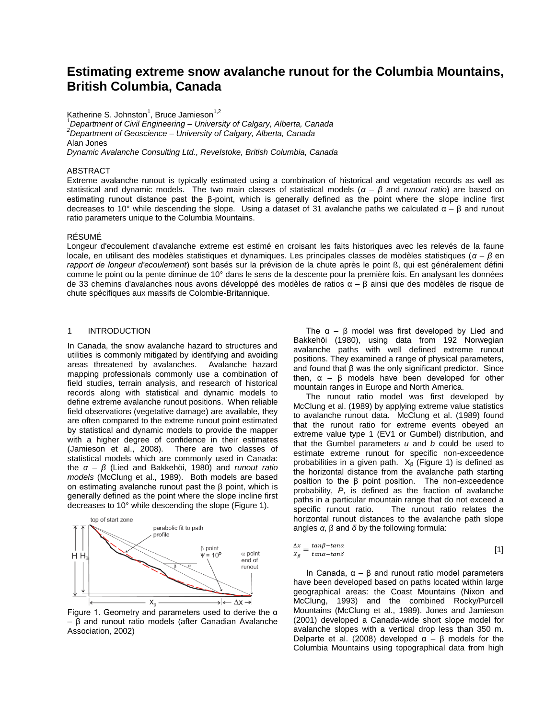# **Estimating extreme snow avalanche runout for the Columbia Mountains, British Columbia, Canada**

Katherine S. Johnston<sup>1</sup>, Bruce Jamieson<sup>1,2</sup>

*<sup>1</sup>Department of Civil Engineering – University of Calgary, Alberta, Canada <sup>2</sup>Department of Geoscience – University of Calgary, Alberta, Canada* Alan Jones *Dynamic Avalanche Consulting Ltd., Revelstoke, British Columbia, Canada*

#### ABSTRACT

Extreme avalanche runout is typically estimated using a combination of historical and vegetation records as well as statistical and dynamic models. The two main classes of statistical models (*α – β* and *runout ratio*) are based on estimating runout distance past the β*-*point, which is generally defined as the point where the slope incline first decreases to 10° while descending the slope. Using a dataset of 31 avalanche paths we calculated  $\alpha - \beta$  and runout ratio parameters unique to the Columbia Mountains.

## RÉSUMÉ

Longeur d'ecoulement d'avalanche extreme est estimé en croisant les faits historiques avec les relevés de la faune locale, en utilisant des modèles statistiques et dynamiques. Les principales classes de modèles statistiques (*α – β* en *rapport de longeur d'ecoulement*) sont basés sur la prévision de la chute après le point ß, qui est généralement défini comme le point ou la pente diminue de 10° dans le sens de la descente pour la première fois. En analysant les données de 33 chemins d'avalanches nous avons développé des modèles de ratios α – β ainsi que des modèles de risque de chute spécifiques aux massifs de Colombie-Britannique.

#### 1 INTRODUCTION

In Canada, the snow avalanche hazard to structures and utilities is commonly mitigated by identifying and avoiding areas threatened by avalanches. Avalanche hazard mapping professionals commonly use a combination of field studies, terrain analysis, and research of historical records along with statistical and dynamic models to define extreme avalanche runout positions. When reliable field observations (vegetative damage) are available, they are often compared to the extreme runout point estimated by statistical and dynamic models to provide the mapper with a higher degree of confidence in their estimates (Jamieson et al., 2008). There are two classes of statistical models which are commonly used in Canada: the *α – β* (Lied and Bakkehöi, 1980) and *runout ratio models* (McClung et al., 1989). Both models are based on estimating avalanche runout past the β point, which is generally defined as the point where the slope incline first decreases to 10° while descending the slope (Figure 1).



Figure 1. Geometry and parameters used to derive the α – β and runout ratio models (after Canadian Avalanche Association, 2002)

The  $\alpha - \beta$  model was first developed by Lied and Bakkehöi (1980), using data from 192 Norwegian avalanche paths with well defined extreme runout positions. They examined a range of physical parameters, and found that β was the only significant predictor. Since then,  $\alpha$  – β models have been developed for other mountain ranges in Europe and North America.

The runout ratio model was first developed by McClung et al. (1989) by applying extreme value statistics to avalanche runout data. McClung et al. (1989) found that the runout ratio for extreme events obeyed an extreme value type 1 (EV1 or Gumbel) distribution, and that the Gumbel parameters *u* and *b* could be used to estimate extreme runout for specific non-exceedence probabilities in a given path.  $X_{\beta}$  (Figure 1) is defined as the horizontal distance from the avalanche path starting position to the β point position. The non-exceedence probability, *P*, is defined as the fraction of avalanche paths in a particular mountain range that do not exceed a specific runout ratio. The runout ratio relates the horizontal runout distances to the avalanche path slope angles *α*, β and *δ* by the following formula:

$$
\frac{\Delta x}{X_{\beta}} = \frac{\tan \beta - \tan \alpha}{\tan \alpha - \tan \delta} \tag{1}
$$

In Canada,  $\alpha$  – β and runout ratio model parameters have been developed based on paths located within large geographical areas: the Coast Mountains (Nixon and McClung, 1993) and the combined Rocky/Purcell Mountains (McClung et al., 1989). Jones and Jamieson (2001) developed a Canada-wide short slope model for avalanche slopes with a vertical drop less than 350 m. Delparte et al. (2008) developed  $\alpha - \beta$  models for the Columbia Mountains using topographical data from high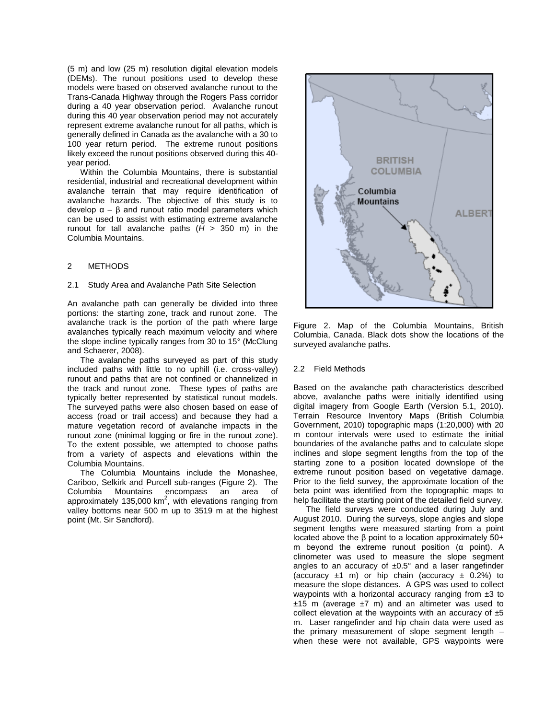(5 m) and low (25 m) resolution digital elevation models (DEMs). The runout positions used to develop these models were based on observed avalanche runout to the Trans-Canada Highway through the Rogers Pass corridor during a 40 year observation period. Avalanche runout during this 40 year observation period may not accurately represent extreme avalanche runout for all paths, which is generally defined in Canada as the avalanche with a 30 to 100 year return period. The extreme runout positions likely exceed the runout positions observed during this 40 year period.

Within the Columbia Mountains, there is substantial residential, industrial and recreational development within avalanche terrain that may require identification of avalanche hazards. The objective of this study is to develop  $\alpha - \beta$  and runout ratio model parameters which can be used to assist with estimating extreme avalanche runout for tall avalanche paths  $(H > 350$  m) in the Columbia Mountains.

# 2 METHODS

### 2.1 Study Area and Avalanche Path Site Selection

An avalanche path can generally be divided into three portions: the starting zone, track and runout zone. The avalanche track is the portion of the path where large avalanches typically reach maximum velocity and where the slope incline typically ranges from 30 to 15° (McClung and Schaerer, 2008).

The avalanche paths surveyed as part of this study included paths with little to no uphill (i.e. cross-valley) runout and paths that are not confined or channelized in the track and runout zone. These types of paths are typically better represented by statistical runout models. The surveyed paths were also chosen based on ease of access (road or trail access) and because they had a mature vegetation record of avalanche impacts in the runout zone (minimal logging or fire in the runout zone). To the extent possible, we attempted to choose paths from a variety of aspects and elevations within the Columbia Mountains.

The Columbia Mountains include the Monashee, Cariboo, Selkirk and Purcell sub-ranges (Figure 2). The Columbia Mountains encompass an area of approximately 135,000  $km^2$ , with elevations ranging from valley bottoms near 500 m up to 3519 m at the highest point (Mt. Sir Sandford).



Figure 2. Map of the Columbia Mountains, British Columbia, Canada. Black dots show the locations of the surveyed avalanche paths.

### 2.2 Field Methods

Based on the avalanche path characteristics described above, avalanche paths were initially identified using digital imagery from Google Earth (Version 5.1, 2010). Terrain Resource Inventory Maps (British Columbia Government, 2010) topographic maps (1:20,000) with 20 m contour intervals were used to estimate the initial boundaries of the avalanche paths and to calculate slope inclines and slope segment lengths from the top of the starting zone to a position located downslope of the extreme runout position based on vegetative damage. Prior to the field survey, the approximate location of the beta point was identified from the topographic maps to help facilitate the starting point of the detailed field survey.

The field surveys were conducted during July and August 2010. During the surveys, slope angles and slope segment lengths were measured starting from a point located above the β point to a location approximately 50+ m beyond the extreme runout position (α point). A clinometer was used to measure the slope segment angles to an accuracy of  $\pm 0.5^\circ$  and a laser rangefinder (accuracy  $\pm 1$  m) or hip chain (accuracy  $\pm$  0.2%) to measure the slope distances. A GPS was used to collect waypoints with a horizontal accuracy ranging from  $\pm 3$  to  $±15$  m (average  $±7$  m) and an altimeter was used to collect elevation at the waypoints with an accuracy of  $\pm 5$ m. Laser rangefinder and hip chain data were used as the primary measurement of slope segment length – when these were not available, GPS waypoints were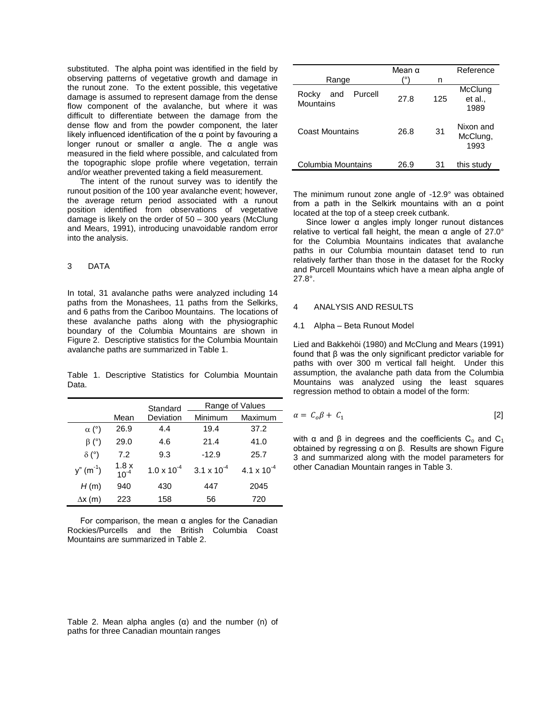substituted. The alpha point was identified in the field by observing patterns of vegetative growth and damage in the runout zone. To the extent possible, this vegetative damage is assumed to represent damage from the dense flow component of the avalanche, but where it was difficult to differentiate between the damage from the dense flow and from the powder component, the later likely influenced identification of the  $\alpha$  point by favouring a longer runout or smaller α angle. The α angle was measured in the field where possible, and calculated from the topographic slope profile where vegetation, terrain and/or weather prevented taking a field measurement.

The intent of the runout survey was to identify the runout position of the 100 year avalanche event; however, the average return period associated with a runout position identified from observations of vegetative damage is likely on the order of 50 – 300 years (McClung and Mears, 1991), introducing unavoidable random error into the analysis.

## 3 DATA

In total, 31 avalanche paths were analyzed including 14 paths from the Monashees, 11 paths from the Selkirks, and 6 paths from the Cariboo Mountains. The locations of these avalanche paths along with the physiographic boundary of the Columbia Mountains are shown in Figure 2. Descriptive statistics for the Columbia Mountain avalanche paths are summarized in Table 1.

Table 1. Descriptive Statistics for Columbia Mountain Data.

|                |                      | Standard             | Range of Values      |                               |  |  |  |
|----------------|----------------------|----------------------|----------------------|-------------------------------|--|--|--|
|                | Mean                 | Deviation            | Minimum              | Maximum                       |  |  |  |
| $\alpha$ (°)   | 26.9                 | 4.4                  | 19.4                 | 37.2                          |  |  |  |
| $\beta$ (°)    | 29.0                 | 4.6                  | 21.4                 | 41.0                          |  |  |  |
| $\delta$ (°)   | 7.2                  | 9.3                  | $-12.9$              | 25.7                          |  |  |  |
| $y''(m^{-1})$  | $1.8 x$<br>$10^{-4}$ | $1.0 \times 10^{-4}$ | $3.1 \times 10^{-4}$ | 4.1 $\times$ 10 <sup>-4</sup> |  |  |  |
| H(m)           | 940                  | 430                  | 447                  | 2045                          |  |  |  |
| $\Delta x$ (m) | 223                  | 158                  | 56                   | 720                           |  |  |  |

For comparison, the mean α angles for the Canadian Rockies/Purcells and the British Columbia Coast Mountains are summarized in Table 2.

|  |  |                                          |  | Table 2. Mean alpha angles $(\alpha)$ and the number $(n)$ of |  |
|--|--|------------------------------------------|--|---------------------------------------------------------------|--|
|  |  | paths for three Canadian mountain ranges |  |                                                               |  |

|                                      | Mean $\alpha$ |     | Reference                     |  |  |
|--------------------------------------|---------------|-----|-------------------------------|--|--|
| Range                                | ٥۱            | n   |                               |  |  |
| Purcell<br>Rocky<br>and<br>Mountains | 27.8          | 125 | McClung<br>et al.,<br>1989    |  |  |
| Coast Mountains                      | 26.8          | 31  | Nixon and<br>McClung,<br>1993 |  |  |
| Columbia Mountains                   | 26.9          | 31  | this study                    |  |  |

The minimum runout zone angle of -12.9° was obtained from a path in the Selkirk mountains with an α point located at the top of a steep creek cutbank.

Since lower  $\alpha$  angles imply longer runout distances relative to vertical fall height, the mean  $α$  angle of 27.0 $°$ for the Columbia Mountains indicates that avalanche paths in our Columbia mountain dataset tend to run relatively farther than those in the dataset for the Rocky and Purcell Mountains which have a mean alpha angle of 27.8°.

### 4 ANALYSIS AND RESULTS

#### 4.1 Alpha – Beta Runout Model

Lied and Bakkehöi (1980) and McClung and Mears (1991) found that β was the only significant predictor variable for paths with over 300 m vertical fall height. Under this assumption, the avalanche path data from the Columbia Mountains was analyzed using the least squares regression method to obtain a model of the form:

$$
\alpha = C_o \beta + C_1 \tag{2}
$$

with α and β in degrees and the coefficients  $C_0$  and  $C_1$ obtained by regressing α on β. Results are shown Figure 3 and summarized along with the model parameters for other Canadian Mountain ranges in Table 3.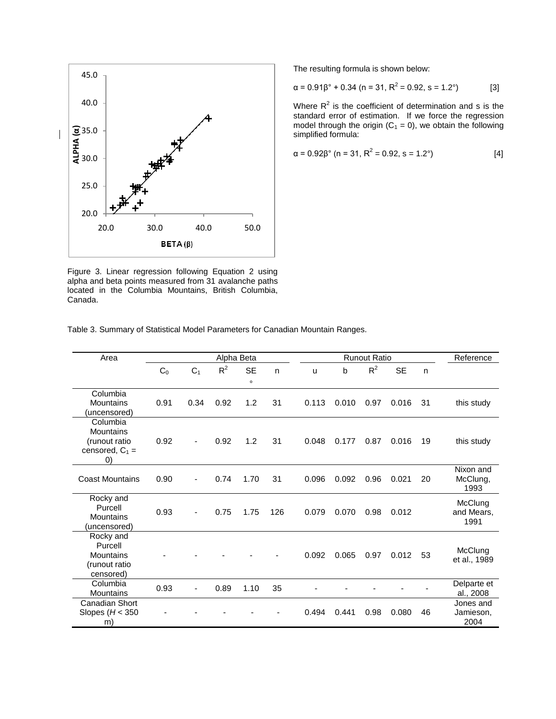

Figure 3. Linear regression following Equation 2 using alpha and beta points measured from 31 avalanche paths located in the Columbia Mountains, British Columbia, Canada.

The resulting formula is shown below:

$$
\alpha = 0.91\beta^{\circ} + 0.34 \quad (n = 31, \, R^2 = 0.92, \, s = 1.2^{\circ})
$$
 [3]

Where  $R^2$  is the coefficient of determination and s is the standard error of estimation. If we force the regression model through the origin  $(C_1 = 0)$ , we obtain the following simplified formula:

$$
\alpha = 0.92\beta^{\circ} \text{ (n = 31, R}^2 = 0.92, \text{ s = 1.2}^{\circ}\text{)} \tag{4}
$$

|  |  | Table 3. Summary of Statistical Model Parameters for Canadian Mountain Ranges. |  |  |
|--|--|--------------------------------------------------------------------------------|--|--|
|--|--|--------------------------------------------------------------------------------|--|--|

| Area                                                                             | Alpha Beta     |                |       |                      |     | <b>Runout Ratio</b> |       |       |           |    | Reference                      |
|----------------------------------------------------------------------------------|----------------|----------------|-------|----------------------|-----|---------------------|-------|-------|-----------|----|--------------------------------|
|                                                                                  | C <sub>0</sub> | C <sub>1</sub> | $R^2$ | <b>SE</b><br>$\circ$ | n.  | u                   | b     | $R^2$ | <b>SE</b> | n  |                                |
| Columbia<br><b>Mountains</b><br>(uncensored)                                     | 0.91           | 0.34           | 0.92  | 1.2                  | 31  | 0.113               | 0.010 | 0.97  | 0.016     | 31 | this study                     |
| Columbia<br>Mountains<br>(runout ratio<br>censored, $C_1$ =<br>$\left( 0\right)$ | 0.92           |                | 0.92  | 1.2                  | 31  | 0.048               | 0.177 | 0.87  | 0.016     | 19 | this study                     |
| <b>Coast Mountains</b>                                                           | 0.90           |                | 0.74  | 1.70                 | 31  | 0.096               | 0.092 | 0.96  | 0.021     | 20 | Nixon and<br>McClung,<br>1993  |
| Rocky and<br>Purcell<br>Mountains<br>(uncensored)                                | 0.93           |                | 0.75  | 1.75                 | 126 | 0.079               | 0.070 | 0.98  | 0.012     |    | McClung<br>and Mears,<br>1991  |
| Rocky and<br>Purcell<br>Mountains<br>(runout ratio<br>censored)                  |                |                |       |                      |     | 0.092               | 0.065 | 0.97  | 0.012     | 53 | McClung<br>et al., 1989        |
| Columbia<br>Mountains                                                            | 0.93           |                | 0.89  | 1.10                 | 35  |                     |       |       |           |    | Delparte et<br>al., 2008       |
| Canadian Short<br>Slopes ( $H < 350$<br>m)                                       |                |                |       |                      |     | 0.494               | 0.441 | 0.98  | 0.080     | 46 | Jones and<br>Jamieson,<br>2004 |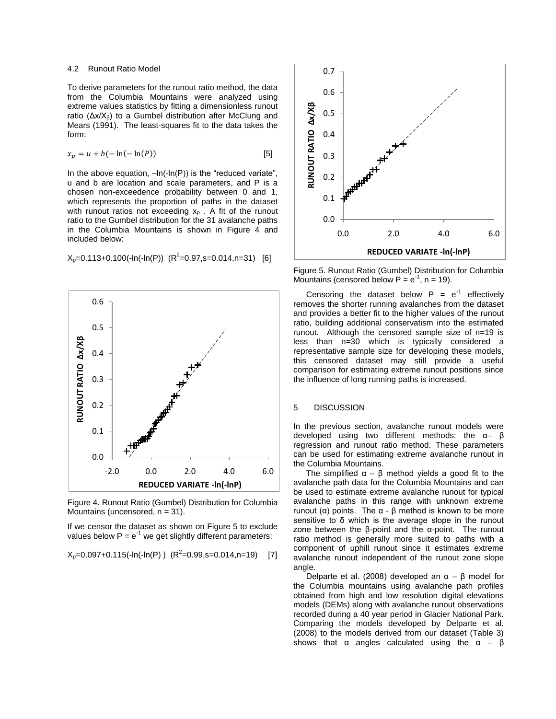#### 4.2 Runout Ratio Model

To derive parameters for the runout ratio method, the data from the Columbia Mountains were analyzed using extreme values statistics by fitting a dimensionless runout ratio (Δx/Xβ) to a Gumbel distribution after McClung and Mears (1991). The least-squares fit to the data takes the form:

$$
x_p = u + b(-\ln(-\ln(P))
$$
\n<sup>[5]</sup>

In the above equation,  $-\ln(-\ln(P))$  is the "reduced variate", u and b are location and scale parameters, and P is a chosen non-exceedence probability between 0 and 1, which represents the proportion of paths in the dataset with runout ratios not exceeding  $x<sub>p</sub>$ . A fit of the runout ratio to the Gumbel distribution for the 31 avalanche paths in the Columbia Mountains is shown in Figure 4 and included below:

 $X_p = 0.113 + 0.100(-ln(ln(P)))(R^2 = 0.97, s = 0.014, n = 31)[6]$ 



Figure 4. Runout Ratio (Gumbel) Distribution for Columbia Mountains (uncensored,  $n = 31$ ).

If we censor the dataset as shown on Figure 5 to exclude values below  $P = e^{-1}$  we get slightly different parameters:

 $X_p = 0.097 + 0.115(-ln(1n(P)))$   $(R^2 = 0.99, s = 0.014, n = 19)$  [7]



Figure 5. Runout Ratio (Gumbel) Distribution for Columbia Mountains (censored below  $P = e^{-1}$ , n = 19).

Censoring the dataset below  $P = e^{-1}$  effectively removes the shorter running avalanches from the dataset and provides a better fit to the higher values of the runout ratio, building additional conservatism into the estimated runout. Although the censored sample size of n=19 is less than n=30 which is typically considered a representative sample size for developing these models, this censored dataset may still provide a useful comparison for estimating extreme runout positions since the influence of long running paths is increased.

# 5 DISCUSSION

In the previous section, avalanche runout models were developed using two different methods: the α– β regression and runout ratio method. These parameters can be used for estimating extreme avalanche runout in the Columbia Mountains.

The simplified  $\alpha - \beta$  method yields a good fit to the avalanche path data for the Columbia Mountains and can be used to estimate extreme avalanche runout for typical avalanche paths in this range with unknown extreme runout ( $α$ ) points. The  $α - β$  method is known to be more sensitive to  $\delta$  which is the average slope in the runout zone between the β-point and the α-point. The runout ratio method is generally more suited to paths with a component of uphill runout since it estimates extreme avalanche runout independent of the runout zone slope angle.

Delparte et al. (2008) developed an  $\alpha - \beta$  model for the Columbia mountains using avalanche path profiles obtained from high and low resolution digital elevations models (DEMs) along with avalanche runout observations recorded during a 40 year period in Glacier National Park. Comparing the models developed by Delparte et al. (2008) to the models derived from our dataset (Table 3) shows that  $\alpha$  angles calculated using the  $\alpha - \beta$